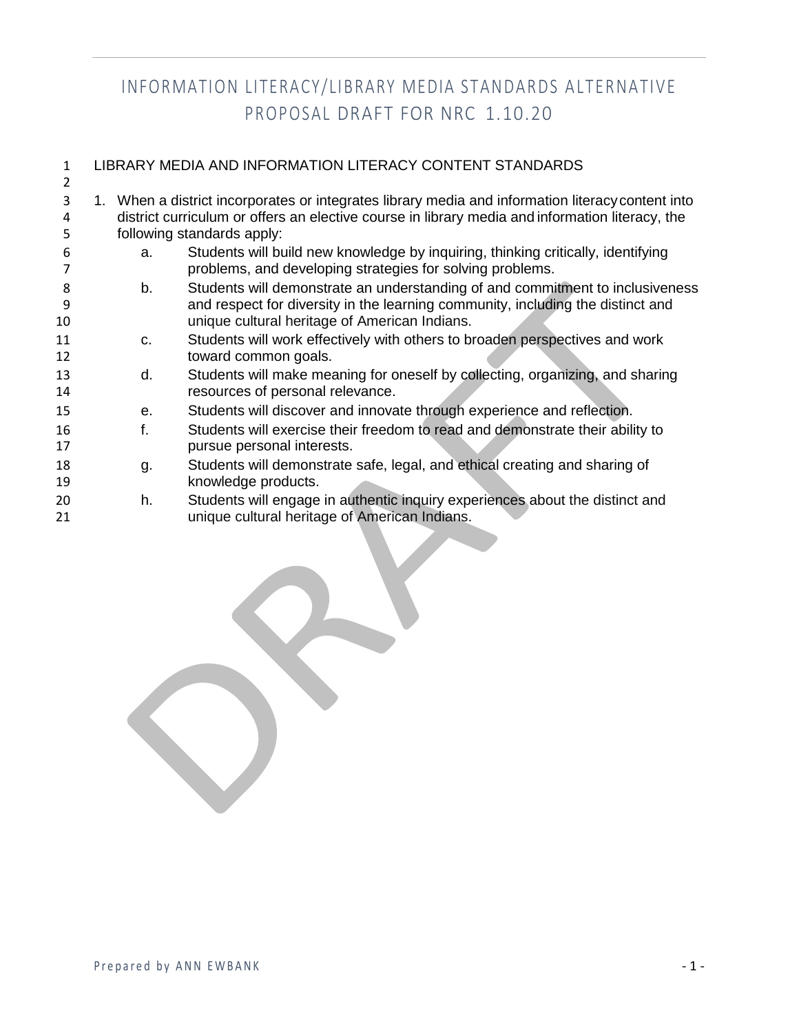| 1  | LIBRARY MEDIA AND INFORMATION LITERACY CONTENT STANDARDS |    |                                                                                                   |  |
|----|----------------------------------------------------------|----|---------------------------------------------------------------------------------------------------|--|
| 2  |                                                          |    |                                                                                                   |  |
| 3  |                                                          |    | 1. When a district incorporates or integrates library media and information literacy content into |  |
| 4  |                                                          |    | district curriculum or offers an elective course in library media and information literacy, the   |  |
| 5  |                                                          |    | following standards apply:                                                                        |  |
| 6  |                                                          | a. | Students will build new knowledge by inquiring, thinking critically, identifying                  |  |
|    |                                                          |    | problems, and developing strategies for solving problems.                                         |  |
| 8  |                                                          | b. | Students will demonstrate an understanding of and commitment to inclusiveness                     |  |
| 9  |                                                          |    | and respect for diversity in the learning community, including the distinct and                   |  |
| 10 |                                                          |    | unique cultural heritage of American Indians.                                                     |  |
| 11 |                                                          | C. | Students will work effectively with others to broaden perspectives and work                       |  |
| 12 |                                                          |    | toward common goals.                                                                              |  |
| 13 |                                                          | d. | Students will make meaning for oneself by collecting, organizing, and sharing                     |  |
| 14 |                                                          |    | resources of personal relevance.                                                                  |  |
| 15 |                                                          | е. | Students will discover and innovate through experience and reflection.                            |  |
| 16 |                                                          | f. | Students will exercise their freedom to read and demonstrate their ability to                     |  |
| 17 |                                                          |    | pursue personal interests.                                                                        |  |
| 18 |                                                          | g. | Students will demonstrate safe, legal, and ethical creating and sharing of                        |  |
| 19 |                                                          |    | knowledge products.                                                                               |  |
| 20 |                                                          | h. | Students will engage in authentic inquiry experiences about the distinct and                      |  |
| 21 |                                                          |    | unique cultural heritage of American Indians.                                                     |  |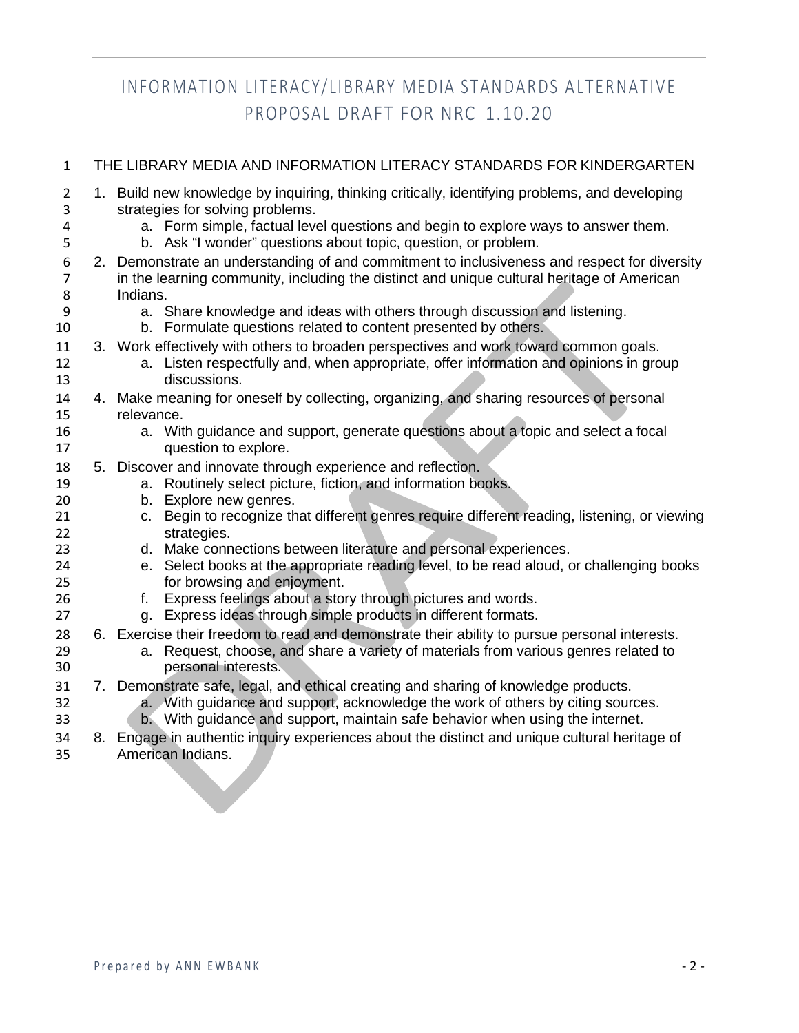| $\mathbf{1}$        | THE LIBRARY MEDIA AND INFORMATION LITERACY STANDARDS FOR KINDERGARTEN |                                                                                                                                                                  |  |  |
|---------------------|-----------------------------------------------------------------------|------------------------------------------------------------------------------------------------------------------------------------------------------------------|--|--|
| $\overline{2}$<br>3 |                                                                       | 1. Build new knowledge by inquiring, thinking critically, identifying problems, and developing<br>strategies for solving problems.                               |  |  |
| 4<br>5              |                                                                       | a. Form simple, factual level questions and begin to explore ways to answer them.<br>b. Ask "I wonder" questions about topic, question, or problem.              |  |  |
| 6                   |                                                                       | 2. Demonstrate an understanding of and commitment to inclusiveness and respect for diversity                                                                     |  |  |
| 7<br>8              |                                                                       | in the learning community, including the distinct and unique cultural heritage of American<br>Indians.                                                           |  |  |
| 9                   |                                                                       | a. Share knowledge and ideas with others through discussion and listening.                                                                                       |  |  |
| 10                  |                                                                       | b. Formulate questions related to content presented by others.                                                                                                   |  |  |
| 11                  |                                                                       | 3. Work effectively with others to broaden perspectives and work toward common goals.                                                                            |  |  |
| 12<br>13            |                                                                       | a. Listen respectfully and, when appropriate, offer information and opinions in group<br>discussions.                                                            |  |  |
| 14                  |                                                                       | 4. Make meaning for oneself by collecting, organizing, and sharing resources of personal                                                                         |  |  |
| 15                  |                                                                       | relevance.                                                                                                                                                       |  |  |
| 16<br>17            |                                                                       | a. With guidance and support, generate questions about a topic and select a focal<br>question to explore.                                                        |  |  |
| 18                  |                                                                       | 5. Discover and innovate through experience and reflection.                                                                                                      |  |  |
| 19                  |                                                                       | a. Routinely select picture, fiction, and information books.                                                                                                     |  |  |
| 20<br>21            |                                                                       | b. Explore new genres.<br>c. Begin to recognize that different genres require different reading, listening, or viewing                                           |  |  |
| 22                  |                                                                       | strategies.                                                                                                                                                      |  |  |
| 23                  |                                                                       | d. Make connections between literature and personal experiences.                                                                                                 |  |  |
| 24<br>25            |                                                                       | e. Select books at the appropriate reading level, to be read aloud, or challenging books<br>for browsing and enjoyment.                                          |  |  |
| 26                  |                                                                       | Express feelings about a story through pictures and words.<br>f.                                                                                                 |  |  |
| 27                  |                                                                       | g. Express ideas through simple products in different formats.                                                                                                   |  |  |
| 28                  |                                                                       | 6. Exercise their freedom to read and demonstrate their ability to pursue personal interests.                                                                    |  |  |
| 29                  |                                                                       | a. Request, choose, and share a variety of materials from various genres related to                                                                              |  |  |
| 30                  |                                                                       | personal interests.                                                                                                                                              |  |  |
| 31                  |                                                                       | 7. Demonstrate safe, legal, and ethical creating and sharing of knowledge products.                                                                              |  |  |
| 32<br>33            |                                                                       | a. With guidance and support, acknowledge the work of others by citing sources.<br>b. With guidance and support, maintain safe behavior when using the internet. |  |  |
| 34                  |                                                                       | 8. Engage in authentic inquiry experiences about the distinct and unique cultural heritage of                                                                    |  |  |
| 35                  |                                                                       | American Indians.                                                                                                                                                |  |  |
|                     |                                                                       |                                                                                                                                                                  |  |  |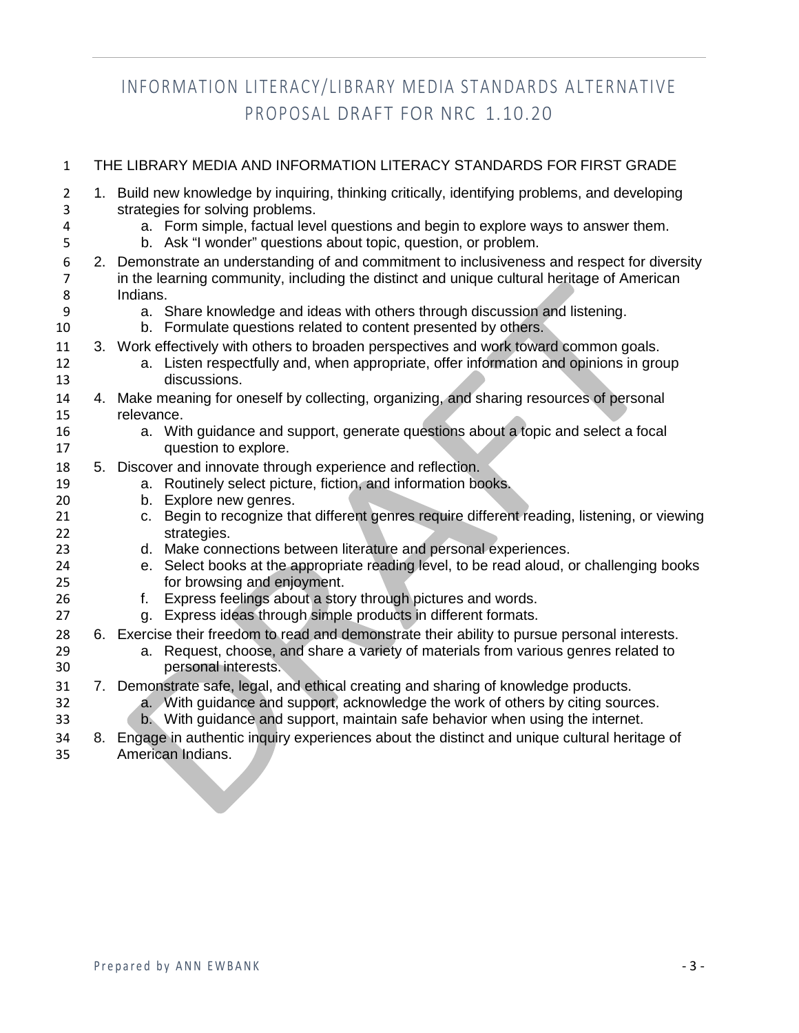| $\mathbf{1}$        | THE LIBRARY MEDIA AND INFORMATION LITERACY STANDARDS FOR FIRST GRADE |                                                                                                                                                                                            |  |  |
|---------------------|----------------------------------------------------------------------|--------------------------------------------------------------------------------------------------------------------------------------------------------------------------------------------|--|--|
| $\overline{2}$<br>3 |                                                                      | 1. Build new knowledge by inquiring, thinking critically, identifying problems, and developing<br>strategies for solving problems.                                                         |  |  |
| 4<br>5              |                                                                      | a. Form simple, factual level questions and begin to explore ways to answer them.<br>b. Ask "I wonder" questions about topic, question, or problem.                                        |  |  |
| 6<br>$\overline{7}$ |                                                                      | 2. Demonstrate an understanding of and commitment to inclusiveness and respect for diversity<br>in the learning community, including the distinct and unique cultural heritage of American |  |  |
| 8                   |                                                                      | Indians.                                                                                                                                                                                   |  |  |
| 9                   |                                                                      | a. Share knowledge and ideas with others through discussion and listening.                                                                                                                 |  |  |
| 10                  |                                                                      | b. Formulate questions related to content presented by others.                                                                                                                             |  |  |
| 11                  |                                                                      | 3. Work effectively with others to broaden perspectives and work toward common goals.                                                                                                      |  |  |
| 12                  |                                                                      | a. Listen respectfully and, when appropriate, offer information and opinions in group                                                                                                      |  |  |
| 13                  |                                                                      | discussions.                                                                                                                                                                               |  |  |
| 14                  |                                                                      | 4. Make meaning for oneself by collecting, organizing, and sharing resources of personal                                                                                                   |  |  |
| 15                  |                                                                      | relevance.                                                                                                                                                                                 |  |  |
| 16<br>17            |                                                                      | a. With guidance and support, generate questions about a topic and select a focal<br>question to explore.                                                                                  |  |  |
| 18                  |                                                                      | 5. Discover and innovate through experience and reflection.                                                                                                                                |  |  |
| 19                  |                                                                      | a. Routinely select picture, fiction, and information books.                                                                                                                               |  |  |
| 20                  |                                                                      | b. Explore new genres.                                                                                                                                                                     |  |  |
| 21<br>22            |                                                                      | c. Begin to recognize that different genres require different reading, listening, or viewing<br>strategies.                                                                                |  |  |
| 23                  |                                                                      | d. Make connections between literature and personal experiences.                                                                                                                           |  |  |
| 24                  |                                                                      | e. Select books at the appropriate reading level, to be read aloud, or challenging books                                                                                                   |  |  |
| 25                  |                                                                      | for browsing and enjoyment.                                                                                                                                                                |  |  |
| 26                  |                                                                      | Express feelings about a story through pictures and words.<br>f.                                                                                                                           |  |  |
| 27                  |                                                                      | g. Express ideas through simple products in different formats.                                                                                                                             |  |  |
| 28                  |                                                                      | 6. Exercise their freedom to read and demonstrate their ability to pursue personal interests.                                                                                              |  |  |
| 29                  |                                                                      | a. Request, choose, and share a variety of materials from various genres related to<br>personal interests.                                                                                 |  |  |
| 30                  |                                                                      |                                                                                                                                                                                            |  |  |
| 31<br>32            |                                                                      | 7. Demonstrate safe, legal, and ethical creating and sharing of knowledge products.<br>a. With guidance and support, acknowledge the work of others by citing sources.                     |  |  |
| 33                  |                                                                      | b. With guidance and support, maintain safe behavior when using the internet.                                                                                                              |  |  |
| 34                  |                                                                      | 8. Engage in authentic inquiry experiences about the distinct and unique cultural heritage of                                                                                              |  |  |
| 35                  |                                                                      | American Indians.                                                                                                                                                                          |  |  |
|                     |                                                                      |                                                                                                                                                                                            |  |  |
|                     |                                                                      |                                                                                                                                                                                            |  |  |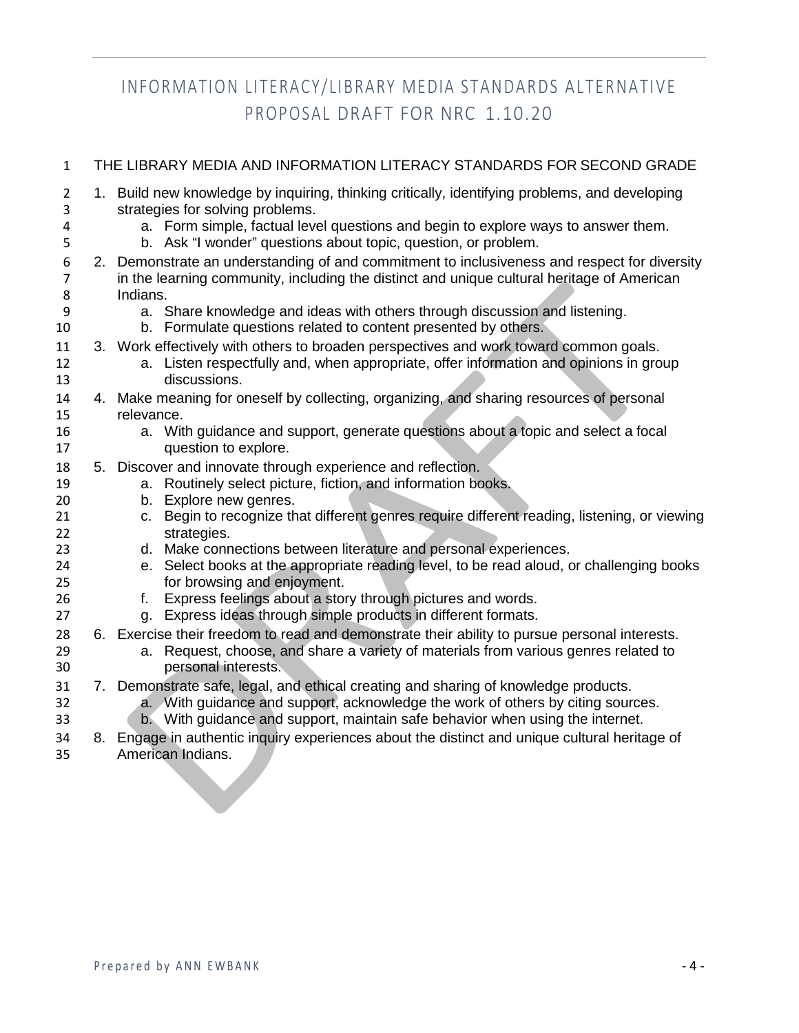| $\mathbf{1}$        | THE LIBRARY MEDIA AND INFORMATION LITERACY STANDARDS FOR SECOND GRADE |                                                                                                                                                     |  |  |
|---------------------|-----------------------------------------------------------------------|-----------------------------------------------------------------------------------------------------------------------------------------------------|--|--|
| $\overline{2}$<br>3 |                                                                       | 1. Build new knowledge by inquiring, thinking critically, identifying problems, and developing<br>strategies for solving problems.                  |  |  |
| 4<br>5              |                                                                       | a. Form simple, factual level questions and begin to explore ways to answer them.<br>b. Ask "I wonder" questions about topic, question, or problem. |  |  |
| 6                   |                                                                       | 2. Demonstrate an understanding of and commitment to inclusiveness and respect for diversity                                                        |  |  |
| 7<br>8              |                                                                       | in the learning community, including the distinct and unique cultural heritage of American<br>Indians.                                              |  |  |
| 9                   |                                                                       | a. Share knowledge and ideas with others through discussion and listening.                                                                          |  |  |
| 10                  |                                                                       | b. Formulate questions related to content presented by others.                                                                                      |  |  |
| 11                  |                                                                       | 3. Work effectively with others to broaden perspectives and work toward common goals.                                                               |  |  |
| 12                  |                                                                       | a. Listen respectfully and, when appropriate, offer information and opinions in group<br>discussions.                                               |  |  |
| 13<br>14            |                                                                       | 4. Make meaning for oneself by collecting, organizing, and sharing resources of personal                                                            |  |  |
| 15                  |                                                                       | relevance.                                                                                                                                          |  |  |
| 16                  |                                                                       | a. With guidance and support, generate questions about a topic and select a focal                                                                   |  |  |
| 17                  |                                                                       | question to explore.                                                                                                                                |  |  |
| 18                  |                                                                       | 5. Discover and innovate through experience and reflection.                                                                                         |  |  |
| 19<br>20            |                                                                       | a. Routinely select picture, fiction, and information books.<br>b. Explore new genres.                                                              |  |  |
| 21                  |                                                                       | c. Begin to recognize that different genres require different reading, listening, or viewing                                                        |  |  |
| 22                  |                                                                       | strategies.                                                                                                                                         |  |  |
| 23                  |                                                                       | d. Make connections between literature and personal experiences.                                                                                    |  |  |
| 24<br>25            |                                                                       | e. Select books at the appropriate reading level, to be read aloud, or challenging books<br>for browsing and enjoyment.                             |  |  |
| 26                  |                                                                       | Express feelings about a story through pictures and words.<br>f.                                                                                    |  |  |
| 27                  |                                                                       | g. Express ideas through simple products in different formats.                                                                                      |  |  |
| 28                  |                                                                       | 6. Exercise their freedom to read and demonstrate their ability to pursue personal interests.                                                       |  |  |
| 29                  |                                                                       | a. Request, choose, and share a variety of materials from various genres related to                                                                 |  |  |
| 30<br>31            |                                                                       | personal interests.<br>7. Demonstrate safe, legal, and ethical creating and sharing of knowledge products.                                          |  |  |
| 32                  |                                                                       | a. With guidance and support, acknowledge the work of others by citing sources.                                                                     |  |  |
| 33                  |                                                                       | b. With guidance and support, maintain safe behavior when using the internet.                                                                       |  |  |
| 34                  |                                                                       | 8. Engage in authentic inquiry experiences about the distinct and unique cultural heritage of                                                       |  |  |
| 35                  |                                                                       | American Indians.                                                                                                                                   |  |  |
|                     |                                                                       |                                                                                                                                                     |  |  |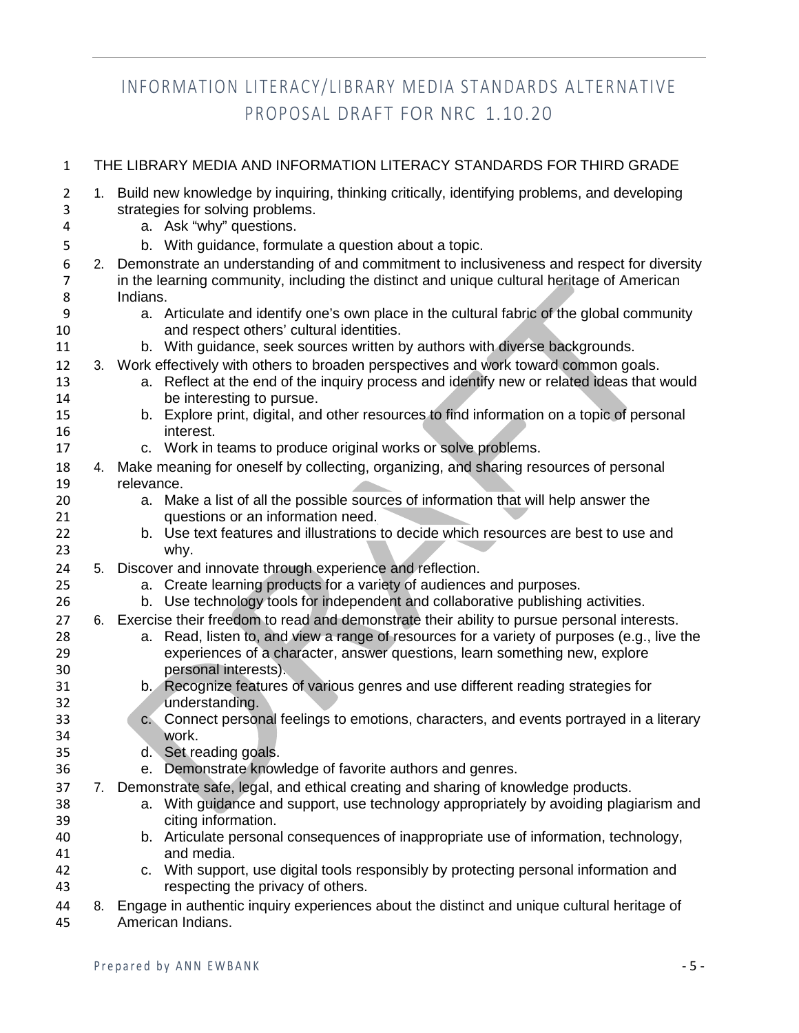| $\mathbf{1}$               |    | THE LIBRARY MEDIA AND INFORMATION LITERACY STANDARDS FOR THIRD GRADE                                                                                                                                                                                                                                                      |
|----------------------------|----|---------------------------------------------------------------------------------------------------------------------------------------------------------------------------------------------------------------------------------------------------------------------------------------------------------------------------|
| $\overline{2}$<br>3<br>4   |    | 1. Build new knowledge by inquiring, thinking critically, identifying problems, and developing<br>strategies for solving problems.<br>a. Ask "why" questions.                                                                                                                                                             |
| 5                          |    | b. With guidance, formulate a question about a topic.                                                                                                                                                                                                                                                                     |
| 6<br>$\overline{7}$        |    | 2. Demonstrate an understanding of and commitment to inclusiveness and respect for diversity<br>in the learning community, including the distinct and unique cultural heritage of American                                                                                                                                |
| 8<br>9<br>10               |    | Indians.<br>a. Articulate and identify one's own place in the cultural fabric of the global community<br>and respect others' cultural identities.                                                                                                                                                                         |
| 11                         |    | b. With guidance, seek sources written by authors with diverse backgrounds.                                                                                                                                                                                                                                               |
| 12<br>13<br>14<br>15<br>16 |    | 3. Work effectively with others to broaden perspectives and work toward common goals.<br>a. Reflect at the end of the inquiry process and identify new or related ideas that would<br>be interesting to pursue.<br>b. Explore print, digital, and other resources to find information on a topic of personal<br>interest. |
| 17                         |    | c. Work in teams to produce original works or solve problems.                                                                                                                                                                                                                                                             |
| 18                         |    | 4. Make meaning for oneself by collecting, organizing, and sharing resources of personal                                                                                                                                                                                                                                  |
| 19                         |    | relevance.                                                                                                                                                                                                                                                                                                                |
| 20<br>21                   |    | a. Make a list of all the possible sources of information that will help answer the<br>questions or an information need.                                                                                                                                                                                                  |
| 22                         |    | b. Use text features and illustrations to decide which resources are best to use and                                                                                                                                                                                                                                      |
| 23                         |    | why.                                                                                                                                                                                                                                                                                                                      |
| 24                         |    | 5. Discover and innovate through experience and reflection.                                                                                                                                                                                                                                                               |
| 25                         |    | a. Create learning products for a variety of audiences and purposes.                                                                                                                                                                                                                                                      |
| 26                         |    | b. Use technology tools for independent and collaborative publishing activities.                                                                                                                                                                                                                                          |
| 27                         |    | 6. Exercise their freedom to read and demonstrate their ability to pursue personal interests.                                                                                                                                                                                                                             |
| 28                         |    | Read, listen to, and view a range of resources for a variety of purposes (e.g., live the<br>а.                                                                                                                                                                                                                            |
| 29                         |    | experiences of a character, answer questions, learn something new, explore                                                                                                                                                                                                                                                |
| 30                         |    | personal interests).                                                                                                                                                                                                                                                                                                      |
| 31                         |    | b. Recognize features of various genres and use different reading strategies for                                                                                                                                                                                                                                          |
| 32                         |    | understanding.                                                                                                                                                                                                                                                                                                            |
| 33                         |    | c. Connect personal feelings to emotions, characters, and events portrayed in a literary                                                                                                                                                                                                                                  |
| 34                         |    | work.                                                                                                                                                                                                                                                                                                                     |
| 35                         |    | d. Set reading goals.                                                                                                                                                                                                                                                                                                     |
| 36                         |    | Demonstrate knowledge of favorite authors and genres.<br>e.                                                                                                                                                                                                                                                               |
| 37                         | 7. | Demonstrate safe, legal, and ethical creating and sharing of knowledge products.                                                                                                                                                                                                                                          |
| 38                         |    | a. With guidance and support, use technology appropriately by avoiding plagiarism and                                                                                                                                                                                                                                     |
| 39                         |    | citing information.                                                                                                                                                                                                                                                                                                       |
| 40<br>41                   |    | b. Articulate personal consequences of inappropriate use of information, technology,<br>and media.                                                                                                                                                                                                                        |
| 42                         |    | c. With support, use digital tools responsibly by protecting personal information and                                                                                                                                                                                                                                     |
| 43                         |    | respecting the privacy of others.                                                                                                                                                                                                                                                                                         |
| 44                         |    | 8. Engage in authentic inquiry experiences about the distinct and unique cultural heritage of                                                                                                                                                                                                                             |
| 45                         |    | American Indians.                                                                                                                                                                                                                                                                                                         |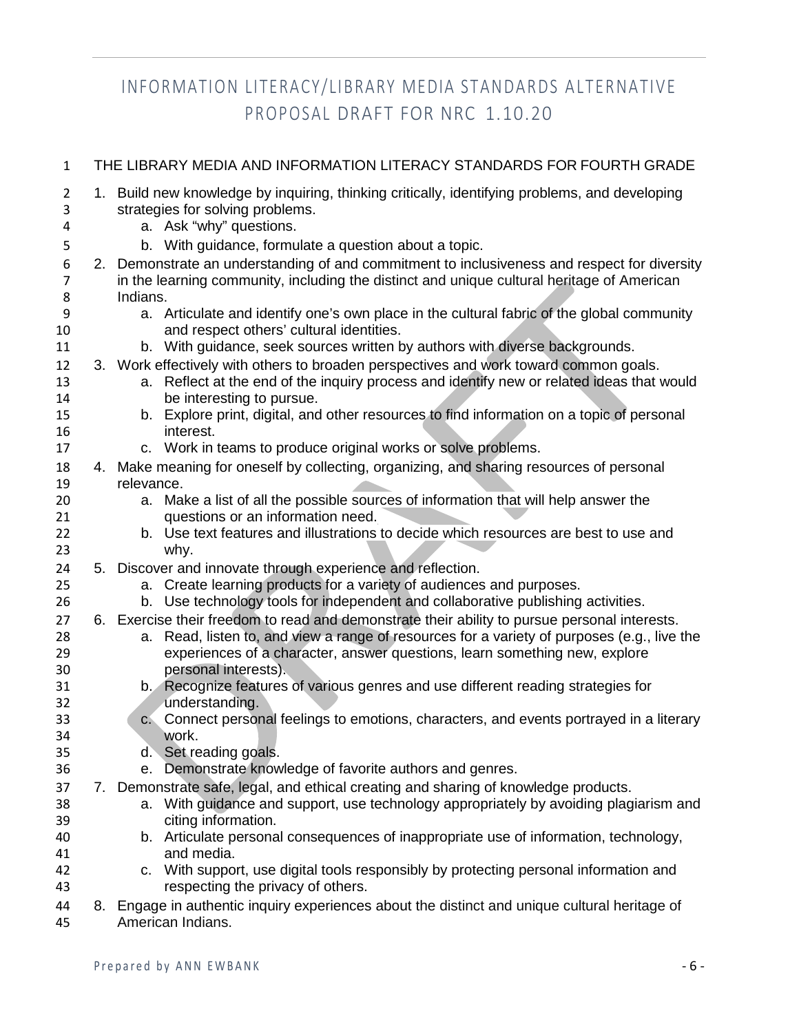| $\mathbf{1}$             | THE LIBRARY MEDIA AND INFORMATION LITERACY STANDARDS FOR FOURTH GRADE                                                                                         |
|--------------------------|---------------------------------------------------------------------------------------------------------------------------------------------------------------|
| $\overline{2}$<br>3<br>4 | 1. Build new knowledge by inquiring, thinking critically, identifying problems, and developing<br>strategies for solving problems.<br>a. Ask "why" questions. |
| 5                        | b. With guidance, formulate a question about a topic.                                                                                                         |
| 6                        | 2. Demonstrate an understanding of and commitment to inclusiveness and respect for diversity                                                                  |
| $\overline{7}$           | in the learning community, including the distinct and unique cultural heritage of American                                                                    |
| 8                        | Indians.                                                                                                                                                      |
| 9                        | a. Articulate and identify one's own place in the cultural fabric of the global community                                                                     |
| 10                       | and respect others' cultural identities.                                                                                                                      |
| 11                       | b. With guidance, seek sources written by authors with diverse backgrounds.                                                                                   |
| 12                       | 3. Work effectively with others to broaden perspectives and work toward common goals.                                                                         |
| 13<br>14                 | a. Reflect at the end of the inquiry process and identify new or related ideas that would<br>be interesting to pursue.                                        |
| 15                       | b. Explore print, digital, and other resources to find information on a topic of personal                                                                     |
| 16                       | interest.                                                                                                                                                     |
| 17                       | c. Work in teams to produce original works or solve problems.                                                                                                 |
| 18                       | 4. Make meaning for oneself by collecting, organizing, and sharing resources of personal                                                                      |
| 19                       | relevance.                                                                                                                                                    |
| 20                       | a. Make a list of all the possible sources of information that will help answer the                                                                           |
| 21                       | questions or an information need.                                                                                                                             |
| 22                       | b. Use text features and illustrations to decide which resources are best to use and                                                                          |
| 23                       | why.                                                                                                                                                          |
| 24<br>25                 | 5. Discover and innovate through experience and reflection.<br>a. Create learning products for a variety of audiences and purposes.                           |
| 26                       | b. Use technology tools for independent and collaborative publishing activities.                                                                              |
| 27                       | 6. Exercise their freedom to read and demonstrate their ability to pursue personal interests.                                                                 |
| 28                       | Read, listen to, and view a range of resources for a variety of purposes (e.g., live the<br>а.                                                                |
| 29                       | experiences of a character, answer questions, learn something new, explore                                                                                    |
| 30                       | personal interests).                                                                                                                                          |
| 31                       | b. Recognize features of various genres and use different reading strategies for                                                                              |
| 32                       | understanding.                                                                                                                                                |
| 33<br>34                 | c. Connect personal feelings to emotions, characters, and events portrayed in a literary<br>work.                                                             |
| 35                       | d. Set reading goals.                                                                                                                                         |
| 36                       | e. Demonstrate knowledge of favorite authors and genres.                                                                                                      |
| 37                       | 7. Demonstrate safe, legal, and ethical creating and sharing of knowledge products.                                                                           |
| 38                       | a. With guidance and support, use technology appropriately by avoiding plagiarism and                                                                         |
| 39                       | citing information.                                                                                                                                           |
| 40                       | b. Articulate personal consequences of inappropriate use of information, technology,                                                                          |
| 41                       | and media.                                                                                                                                                    |
| 42<br>43                 | c. With support, use digital tools responsibly by protecting personal information and<br>respecting the privacy of others.                                    |
| 44                       | 8. Engage in authentic inquiry experiences about the distinct and unique cultural heritage of                                                                 |

American Indians.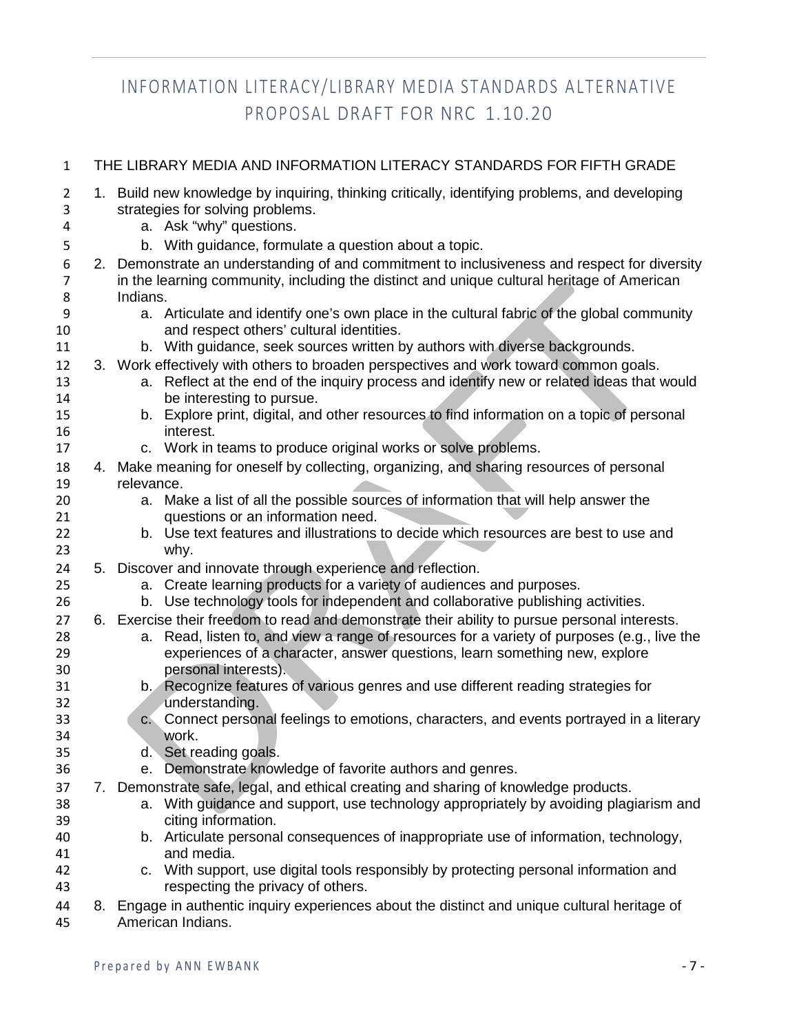| $\mathbf{1}$             | THE LIBRARY MEDIA AND INFORMATION LITERACY STANDARDS FOR FIFTH GRADE |                                                                                                                                                               |  |  |
|--------------------------|----------------------------------------------------------------------|---------------------------------------------------------------------------------------------------------------------------------------------------------------|--|--|
| $\overline{2}$<br>3<br>4 |                                                                      | 1. Build new knowledge by inquiring, thinking critically, identifying problems, and developing<br>strategies for solving problems.<br>a. Ask "why" questions. |  |  |
| 5                        |                                                                      | b. With guidance, formulate a question about a topic.                                                                                                         |  |  |
| 6                        |                                                                      | 2. Demonstrate an understanding of and commitment to inclusiveness and respect for diversity                                                                  |  |  |
| $\overline{7}$           |                                                                      | in the learning community, including the distinct and unique cultural heritage of American                                                                    |  |  |
| 8                        |                                                                      | Indians.                                                                                                                                                      |  |  |
| 9                        |                                                                      | a. Articulate and identify one's own place in the cultural fabric of the global community                                                                     |  |  |
| 10                       |                                                                      | and respect others' cultural identities.                                                                                                                      |  |  |
| 11                       |                                                                      | b. With guidance, seek sources written by authors with diverse backgrounds.                                                                                   |  |  |
| 12                       |                                                                      | 3. Work effectively with others to broaden perspectives and work toward common goals.                                                                         |  |  |
| 13<br>14                 |                                                                      | a. Reflect at the end of the inquiry process and identify new or related ideas that would<br>be interesting to pursue.                                        |  |  |
| 15                       |                                                                      | b. Explore print, digital, and other resources to find information on a topic of personal                                                                     |  |  |
| 16                       |                                                                      | interest.                                                                                                                                                     |  |  |
| 17                       |                                                                      | c. Work in teams to produce original works or solve problems.                                                                                                 |  |  |
| 18                       |                                                                      | 4. Make meaning for oneself by collecting, organizing, and sharing resources of personal                                                                      |  |  |
| 19                       |                                                                      | relevance.                                                                                                                                                    |  |  |
| 20                       |                                                                      | a. Make a list of all the possible sources of information that will help answer the                                                                           |  |  |
| 21                       |                                                                      | questions or an information need.                                                                                                                             |  |  |
| 22                       |                                                                      | b. Use text features and illustrations to decide which resources are best to use and                                                                          |  |  |
| 23                       |                                                                      | why.                                                                                                                                                          |  |  |
| 24                       |                                                                      | 5. Discover and innovate through experience and reflection.<br>a. Create learning products for a variety of audiences and purposes.                           |  |  |
| 25<br>26                 |                                                                      | b. Use technology tools for independent and collaborative publishing activities.                                                                              |  |  |
| 27                       |                                                                      | 6. Exercise their freedom to read and demonstrate their ability to pursue personal interests.                                                                 |  |  |
| 28                       |                                                                      | Read, listen to, and view a range of resources for a variety of purposes (e.g., live the<br>а.                                                                |  |  |
| 29                       |                                                                      | experiences of a character, answer questions, learn something new, explore                                                                                    |  |  |
| 30                       |                                                                      | personal interests).                                                                                                                                          |  |  |
| 31                       |                                                                      | b. Recognize features of various genres and use different reading strategies for                                                                              |  |  |
| 32                       |                                                                      | understanding.                                                                                                                                                |  |  |
| 33                       |                                                                      | c. Connect personal feelings to emotions, characters, and events portrayed in a literary                                                                      |  |  |
| 34                       |                                                                      | work.                                                                                                                                                         |  |  |
| 35<br>36                 |                                                                      | d. Set reading goals.<br>e. Demonstrate knowledge of favorite authors and genres.                                                                             |  |  |
| 37                       |                                                                      | 7. Demonstrate safe, legal, and ethical creating and sharing of knowledge products.                                                                           |  |  |
| 38                       |                                                                      | a. With guidance and support, use technology appropriately by avoiding plagiarism and                                                                         |  |  |
| 39                       |                                                                      | citing information.                                                                                                                                           |  |  |
| 40                       |                                                                      | b. Articulate personal consequences of inappropriate use of information, technology,                                                                          |  |  |
| 41                       |                                                                      | and media.                                                                                                                                                    |  |  |
| 42                       |                                                                      | c. With support, use digital tools responsibly by protecting personal information and                                                                         |  |  |
| 43                       |                                                                      | respecting the privacy of others.                                                                                                                             |  |  |
| 44                       |                                                                      | 8. Engage in authentic inquiry experiences about the distinct and unique cultural heritage of                                                                 |  |  |

American Indians.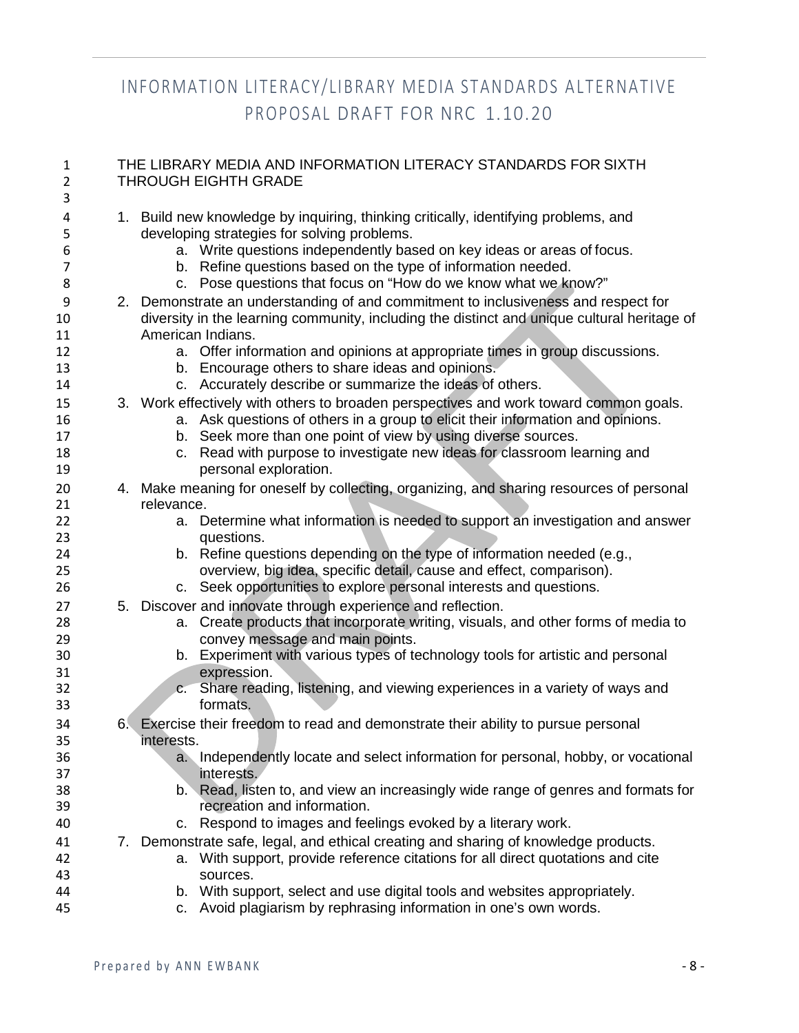| $\mathbf{1}$<br>2 | THE LIBRARY MEDIA AND INFORMATION LITERACY STANDARDS FOR SIXTH<br><b>THROUGH EIGHTH GRADE</b>                                      |  |  |  |
|-------------------|------------------------------------------------------------------------------------------------------------------------------------|--|--|--|
| 3                 |                                                                                                                                    |  |  |  |
| 4<br>5            | 1. Build new knowledge by inquiring, thinking critically, identifying problems, and<br>developing strategies for solving problems. |  |  |  |
| 6                 | a. Write questions independently based on key ideas or areas of focus.                                                             |  |  |  |
| $\overline{7}$    | b. Refine questions based on the type of information needed.                                                                       |  |  |  |
| 8                 | Pose questions that focus on "How do we know what we know?"<br>C.                                                                  |  |  |  |
| 9                 | 2. Demonstrate an understanding of and commitment to inclusiveness and respect for                                                 |  |  |  |
| 10                | diversity in the learning community, including the distinct and unique cultural heritage of                                        |  |  |  |
| 11                | American Indians.                                                                                                                  |  |  |  |
| 12                | a. Offer information and opinions at appropriate times in group discussions.                                                       |  |  |  |
| 13                | b. Encourage others to share ideas and opinions.                                                                                   |  |  |  |
| 14                | c. Accurately describe or summarize the ideas of others.                                                                           |  |  |  |
|                   |                                                                                                                                    |  |  |  |
| 15                | 3. Work effectively with others to broaden perspectives and work toward common goals.                                              |  |  |  |
| 16                | a. Ask questions of others in a group to elicit their information and opinions.                                                    |  |  |  |
| 17                | b. Seek more than one point of view by using diverse sources.                                                                      |  |  |  |
| 18                | c. Read with purpose to investigate new ideas for classroom learning and                                                           |  |  |  |
| 19                | personal exploration.                                                                                                              |  |  |  |
| 20                | 4. Make meaning for oneself by collecting, organizing, and sharing resources of personal                                           |  |  |  |
| 21                | relevance.                                                                                                                         |  |  |  |
| 22                | a. Determine what information is needed to support an investigation and answer                                                     |  |  |  |
| 23                | questions.                                                                                                                         |  |  |  |
| 24                | b. Refine questions depending on the type of information needed (e.g.,                                                             |  |  |  |
| 25                | overview, big idea, specific detail, cause and effect, comparison).                                                                |  |  |  |
| 26                | c. Seek opportunities to explore personal interests and questions.                                                                 |  |  |  |
| 27                | 5. Discover and innovate through experience and reflection.                                                                        |  |  |  |
| 28                | a. Create products that incorporate writing, visuals, and other forms of media to                                                  |  |  |  |
| 29                | convey message and main points.                                                                                                    |  |  |  |
| 30                | b. Experiment with various types of technology tools for artistic and personal                                                     |  |  |  |
| 31                | expression.                                                                                                                        |  |  |  |
| 32                | c. Share reading, listening, and viewing experiences in a variety of ways and                                                      |  |  |  |
| 33                | formats.                                                                                                                           |  |  |  |
| 34                | 6. Exercise their freedom to read and demonstrate their ability to pursue personal                                                 |  |  |  |
| 35                | interests.                                                                                                                         |  |  |  |
| 36                | a. Independently locate and select information for personal, hobby, or vocational                                                  |  |  |  |
| 37                | interests.                                                                                                                         |  |  |  |
| 38                | b. Read, listen to, and view an increasingly wide range of genres and formats for                                                  |  |  |  |
| 39                | recreation and information.                                                                                                        |  |  |  |
| 40                | Respond to images and feelings evoked by a literary work.<br>C.                                                                    |  |  |  |
| 41                | 7. Demonstrate safe, legal, and ethical creating and sharing of knowledge products.                                                |  |  |  |
| 42                | a. With support, provide reference citations for all direct quotations and cite                                                    |  |  |  |
| 43                | sources.                                                                                                                           |  |  |  |
| 44                | b. With support, select and use digital tools and websites appropriately.                                                          |  |  |  |
| 45                | Avoid plagiarism by rephrasing information in one's own words.<br>C.                                                               |  |  |  |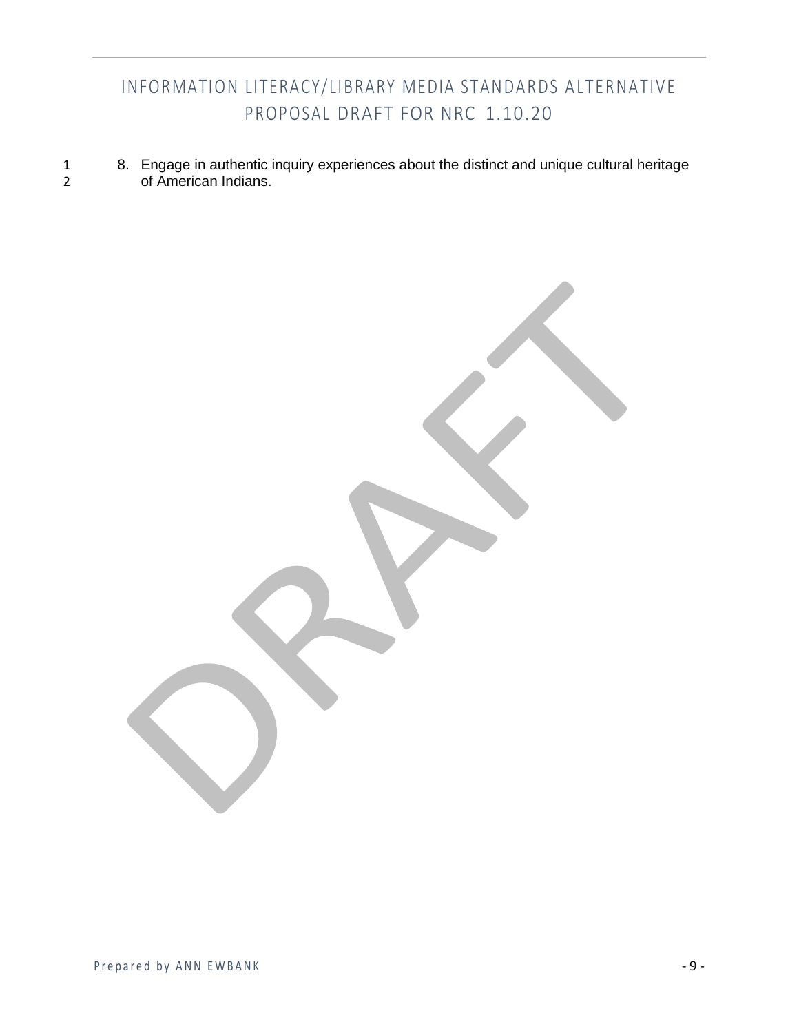1 8. Engage in authentic inquiry experiences about the distinct and unique cultural heritage<br>2 of American Indians. of American Indians.

Prepared by ANN EWBANK - 9 -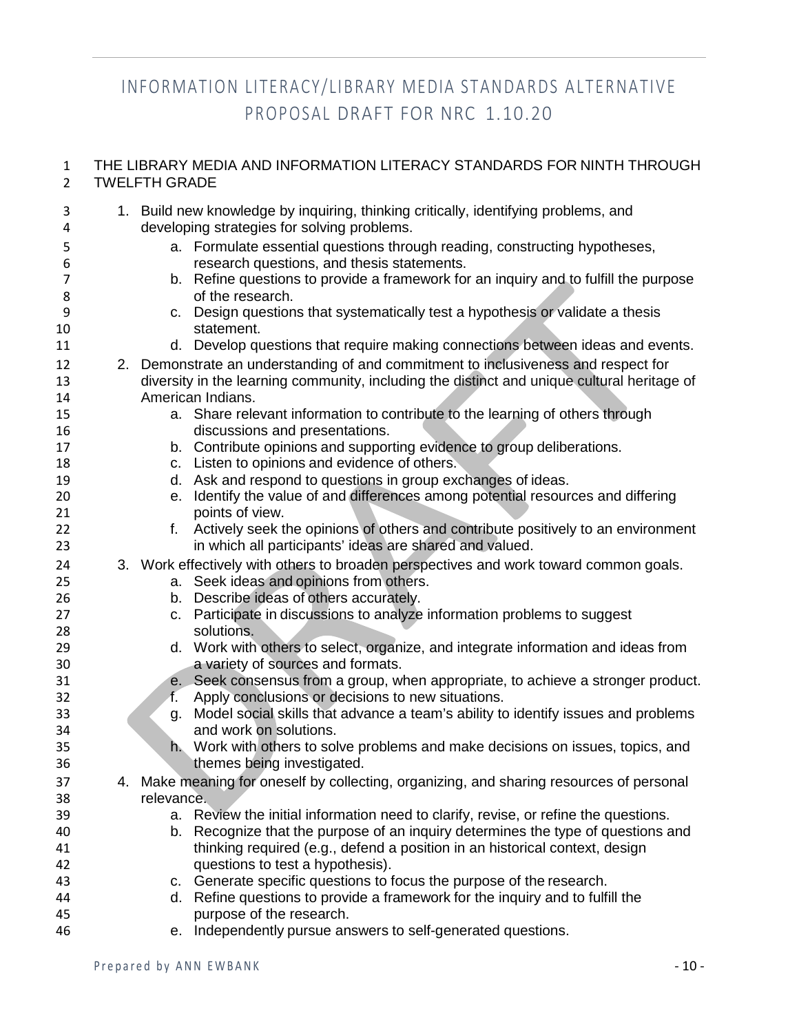#### THE LIBRARY MEDIA AND INFORMATION LITERACY STANDARDS FOR NINTH THROUGH TWELFTH GRADE

| 3<br>4         | developing strategies for solving problems. | 1. Build new knowledge by inquiring, thinking critically, identifying problems, and         |
|----------------|---------------------------------------------|---------------------------------------------------------------------------------------------|
| 5              |                                             | a. Formulate essential questions through reading, constructing hypotheses,                  |
| 6              |                                             | research questions, and thesis statements.                                                  |
| $\overline{7}$ |                                             | b. Refine questions to provide a framework for an inquiry and to fulfill the purpose        |
| 8              | of the research.                            |                                                                                             |
| 9              |                                             | c. Design questions that systematically test a hypothesis or validate a thesis              |
| 10             | statement.                                  |                                                                                             |
| 11             |                                             | d. Develop questions that require making connections between ideas and events.              |
| 12             |                                             | 2. Demonstrate an understanding of and commitment to inclusiveness and respect for          |
| 13             |                                             | diversity in the learning community, including the distinct and unique cultural heritage of |
| 14             | American Indians.                           |                                                                                             |
| 15             |                                             | a. Share relevant information to contribute to the learning of others through               |
| 16             |                                             | discussions and presentations.                                                              |
| 17             |                                             | b. Contribute opinions and supporting evidence to group deliberations.                      |
| 18             |                                             | c. Listen to opinions and evidence of others.                                               |
| 19             |                                             | d. Ask and respond to questions in group exchanges of ideas.                                |
| 20             |                                             | e. Identify the value of and differences among potential resources and differing            |
| 21             | points of view.                             |                                                                                             |
| 22             |                                             | f. Actively seek the opinions of others and contribute positively to an environment         |
| 23             |                                             | in which all participants' ideas are shared and valued.                                     |
| 24             |                                             | 3. Work effectively with others to broaden perspectives and work toward common goals.       |
| 25             |                                             | a. Seek ideas and opinions from others.                                                     |
| 26             |                                             | b. Describe ideas of others accurately.                                                     |
| 27             |                                             | c. Participate in discussions to analyze information problems to suggest                    |
| 28             | solutions.                                  |                                                                                             |
| 29             |                                             | d. Work with others to select, organize, and integrate information and ideas from           |
| 30             |                                             | a variety of sources and formats.                                                           |
| 31             |                                             | e. Seek consensus from a group, when appropriate, to achieve a stronger product.            |
| 32             | f.                                          | Apply conclusions or decisions to new situations.                                           |
| 33             | g.                                          | Model social skills that advance a team's ability to identify issues and problems           |
| 34             | and work on solutions.                      |                                                                                             |
| 35             |                                             | h. Work with others to solve problems and make decisions on issues, topics, and             |
| 36             | themes being investigated.                  |                                                                                             |
| 37             |                                             | 4. Make meaning for oneself by collecting, organizing, and sharing resources of personal    |
| 38             | relevance.                                  |                                                                                             |
| 39             |                                             | a. Review the initial information need to clarify, revise, or refine the questions.         |
| 40             |                                             | b. Recognize that the purpose of an inquiry determines the type of questions and            |
| 41             |                                             | thinking required (e.g., defend a position in an historical context, design                 |
| 42             |                                             | questions to test a hypothesis).                                                            |
| 43             |                                             | c. Generate specific questions to focus the purpose of the research.                        |
| 44             |                                             | d. Refine questions to provide a framework for the inquiry and to fulfill the               |
| 45             | purpose of the research.                    |                                                                                             |
| 46             |                                             | e. Independently pursue answers to self-generated questions.                                |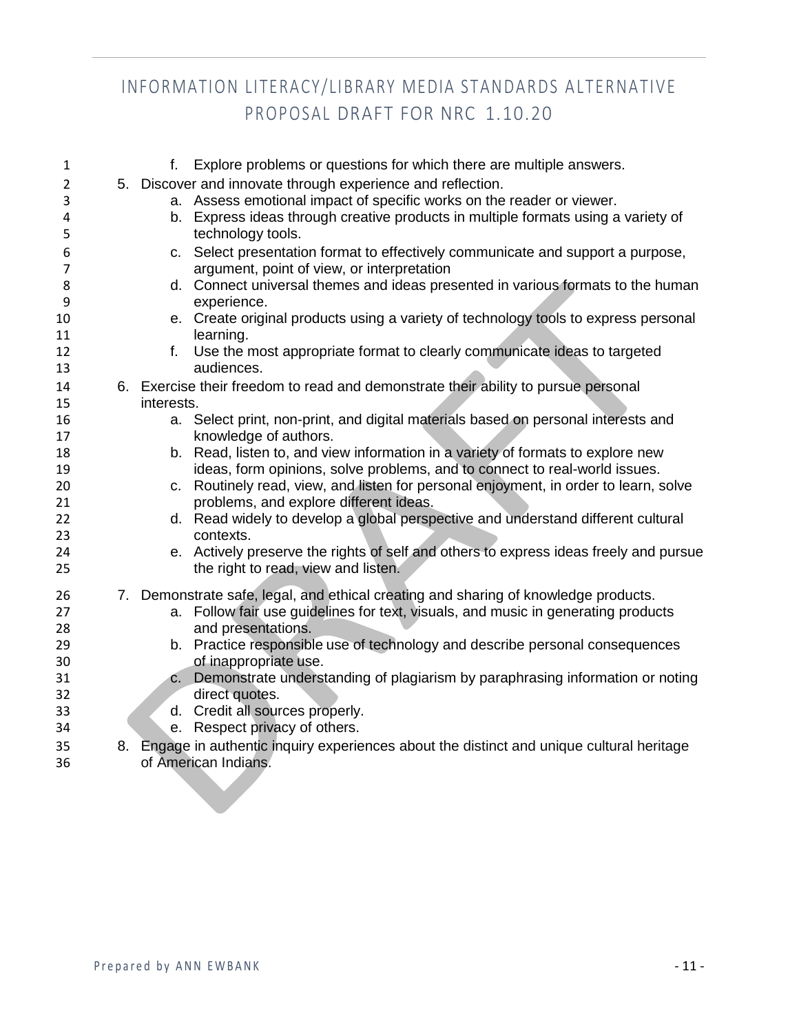| $\mathbf{1}$   | f.         | Explore problems or questions for which there are multiple answers.                                                |
|----------------|------------|--------------------------------------------------------------------------------------------------------------------|
| $\overline{2}$ |            | 5. Discover and innovate through experience and reflection.                                                        |
| 3              |            | a. Assess emotional impact of specific works on the reader or viewer.                                              |
| 4<br>5         |            | b. Express ideas through creative products in multiple formats using a variety of<br>technology tools.             |
| 6              |            | c. Select presentation format to effectively communicate and support a purpose,                                    |
| 7              |            | argument, point of view, or interpretation                                                                         |
| 8              |            | d. Connect universal themes and ideas presented in various formats to the human                                    |
| 9              |            | experience.                                                                                                        |
| 10             |            | e. Create original products using a variety of technology tools to express personal                                |
| 11             |            | learning.                                                                                                          |
| 12<br>13       | f.         | Use the most appropriate format to clearly communicate ideas to targeted<br>audiences.                             |
| 14             |            | 6. Exercise their freedom to read and demonstrate their ability to pursue personal                                 |
| 15             | interests. |                                                                                                                    |
| 16             |            | a. Select print, non-print, and digital materials based on personal interests and                                  |
| 17             |            | knowledge of authors.                                                                                              |
| 18             |            | b. Read, listen to, and view information in a variety of formats to explore new                                    |
| 19             |            | ideas, form opinions, solve problems, and to connect to real-world issues.                                         |
| 20             |            | c. Routinely read, view, and listen for personal enjoyment, in order to learn, solve                               |
| 21             |            | problems, and explore different ideas.                                                                             |
| 22             |            | d. Read widely to develop a global perspective and understand different cultural                                   |
| 23             |            | contexts.                                                                                                          |
| 24             |            | e. Actively preserve the rights of self and others to express ideas freely and pursue                              |
| 25             |            | the right to read, view and listen.                                                                                |
| 26             |            | 7. Demonstrate safe, legal, and ethical creating and sharing of knowledge products.                                |
| 27             |            | a. Follow fair use guidelines for text, visuals, and music in generating products                                  |
| 28             |            | and presentations.                                                                                                 |
| 29             |            | b. Practice responsible use of technology and describe personal consequences                                       |
| 30             |            | of inappropriate use.                                                                                              |
| 31             |            | c. Demonstrate understanding of plagiarism by paraphrasing information or noting                                   |
| 32             |            | direct quotes.                                                                                                     |
| 33             |            | d. Credit all sources properly.                                                                                    |
| 34             |            | e. Respect privacy of others.                                                                                      |
| 35<br>36       |            | 8. Engage in authentic inquiry experiences about the distinct and unique cultural heritage<br>of American Indians. |
|                |            |                                                                                                                    |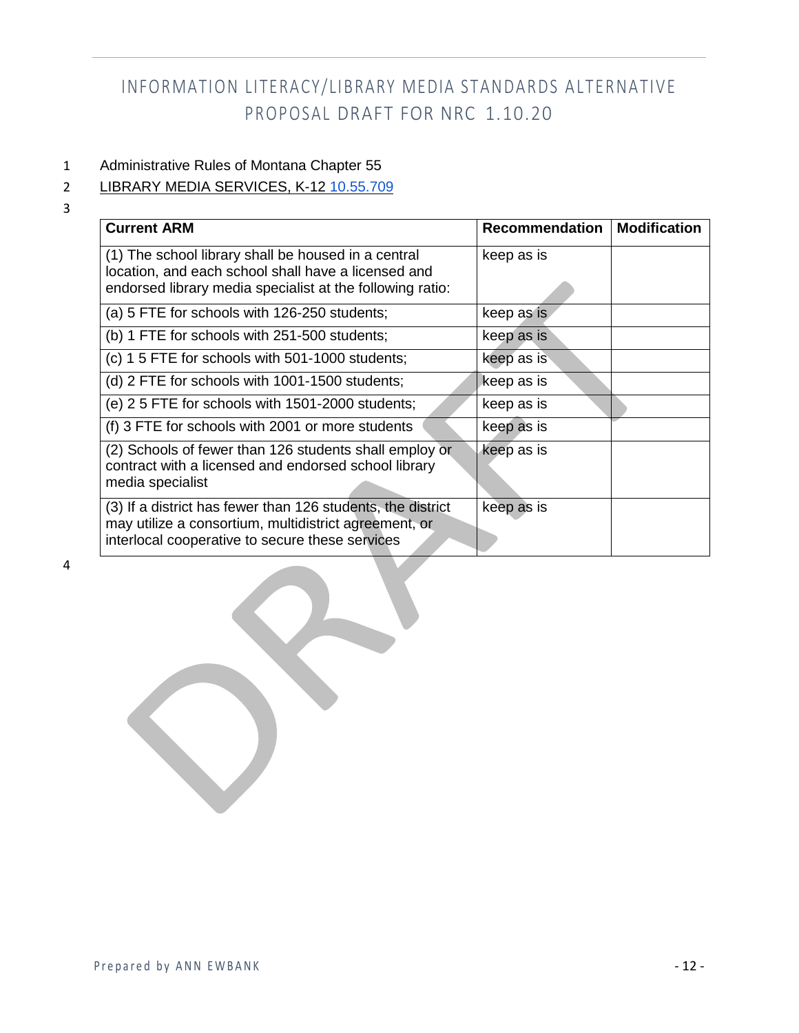#### 1 Administrative Rules of Montana Chapter 55

### 2 LIBRARY MEDIA SERVICES, K-12 [10.55.709](http://mtrules.org/gateway/ruleno.asp?RN=10%2E55%2E709)

3

| <b>Current ARM</b>                                                                                                                                                      | Recommendation | <b>Modification</b> |
|-------------------------------------------------------------------------------------------------------------------------------------------------------------------------|----------------|---------------------|
| (1) The school library shall be housed in a central<br>location, and each school shall have a licensed and<br>endorsed library media specialist at the following ratio: | keep as is     |                     |
| (a) 5 FTE for schools with 126-250 students;                                                                                                                            | keep as is     |                     |
| (b) 1 FTE for schools with 251-500 students;                                                                                                                            | keep as is     |                     |
| (c) 1 5 FTE for schools with 501-1000 students;                                                                                                                         | keep as is     |                     |
| (d) 2 FTE for schools with 1001-1500 students;                                                                                                                          | keep as is     |                     |
| (e) 2 5 FTE for schools with 1501-2000 students;                                                                                                                        | keep as is     |                     |
| (f) 3 FTE for schools with 2001 or more students                                                                                                                        | keep as is     |                     |
| (2) Schools of fewer than 126 students shall employ or<br>contract with a licensed and endorsed school library<br>media specialist                                      | keep as is     |                     |
| (3) If a district has fewer than 126 students, the district<br>may utilize a consortium, multidistrict agreement, or<br>interlocal cooperative to secure these services | keep as is     |                     |

4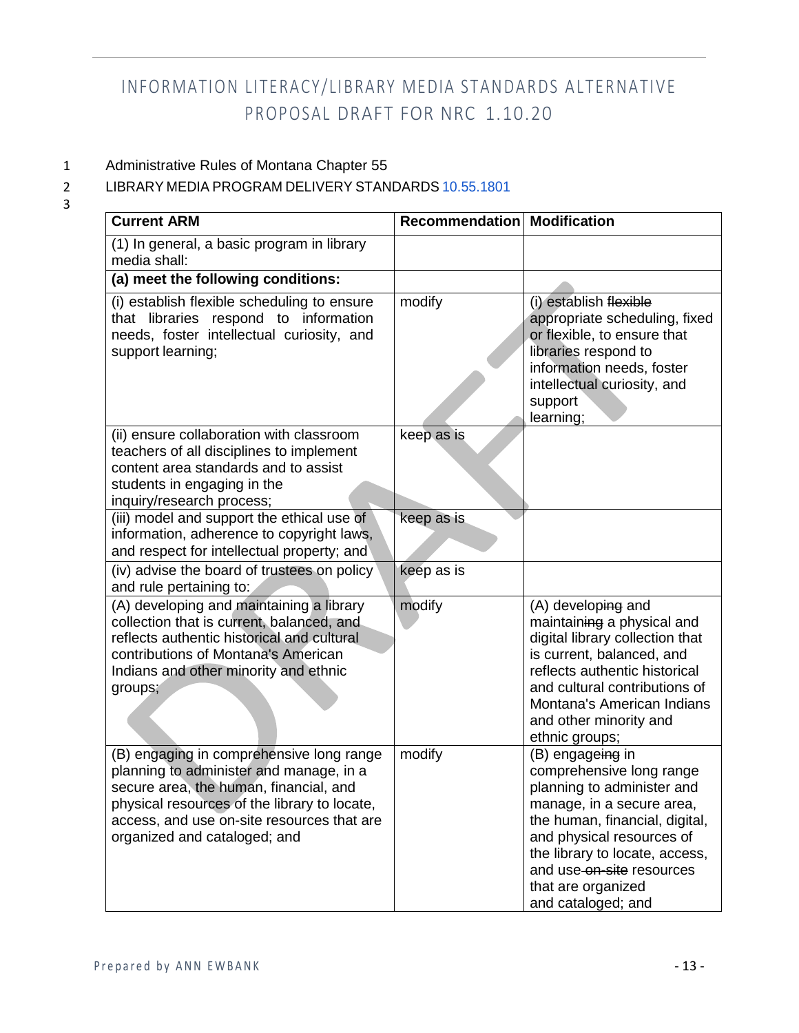### 1 Administrative Rules of Montana Chapter 55

#### 2 LIBRARY MEDIA PROGRAM DELIVERY STANDARDS [10.55.1801](http://mtrules.org/gateway/ruleno.asp?RN=10%2E55%2E1801)

| <b>Current ARM</b>                                                                                                                                                                                                                                          | Recommendation Modification |                                                                                                                                                                                                                                                              |
|-------------------------------------------------------------------------------------------------------------------------------------------------------------------------------------------------------------------------------------------------------------|-----------------------------|--------------------------------------------------------------------------------------------------------------------------------------------------------------------------------------------------------------------------------------------------------------|
| (1) In general, a basic program in library<br>media shall:                                                                                                                                                                                                  |                             |                                                                                                                                                                                                                                                              |
| (a) meet the following conditions:                                                                                                                                                                                                                          |                             |                                                                                                                                                                                                                                                              |
| (i) establish flexible scheduling to ensure<br>that libraries respond to information<br>needs, foster intellectual curiosity, and<br>support learning;                                                                                                      | modify                      | (i) establish flexible<br>appropriate scheduling, fixed<br>or flexible, to ensure that<br>libraries respond to<br>information needs, foster<br>intellectual curiosity, and<br>support<br>learning;                                                           |
| (ii) ensure collaboration with classroom<br>teachers of all disciplines to implement<br>content area standards and to assist<br>students in engaging in the<br>inquiry/research process;                                                                    | keep as is                  |                                                                                                                                                                                                                                                              |
| (iii) model and support the ethical use of<br>information, adherence to copyright laws,<br>and respect for intellectual property; and                                                                                                                       | keep as is                  |                                                                                                                                                                                                                                                              |
| (iv) advise the board of trustees on policy<br>and rule pertaining to:                                                                                                                                                                                      | keep as is                  |                                                                                                                                                                                                                                                              |
| (A) developing and maintaining a library<br>collection that is current, balanced, and<br>reflects authentic historical and cultural<br>contributions of Montana's American<br>Indians and other minority and ethnic<br>groups;                              | modify                      | (A) developing and<br>maintaining a physical and<br>digital library collection that<br>is current, balanced, and<br>reflects authentic historical<br>and cultural contributions of<br>Montana's American Indians<br>and other minority and<br>ethnic groups; |
| (B) engaging in comprehensive long range<br>planning to administer and manage, in a<br>secure area, the human, financial, and<br>physical resources of the library to locate,<br>access, and use on-site resources that are<br>organized and cataloged; and | modify                      | (B) engageing in<br>comprehensive long range<br>planning to administer and<br>manage, in a secure area,<br>the human, financial, digital,<br>and physical resources of<br>the library to locate, access,<br>and use-on-site resources<br>that are organized  |

3

and cataloged; and